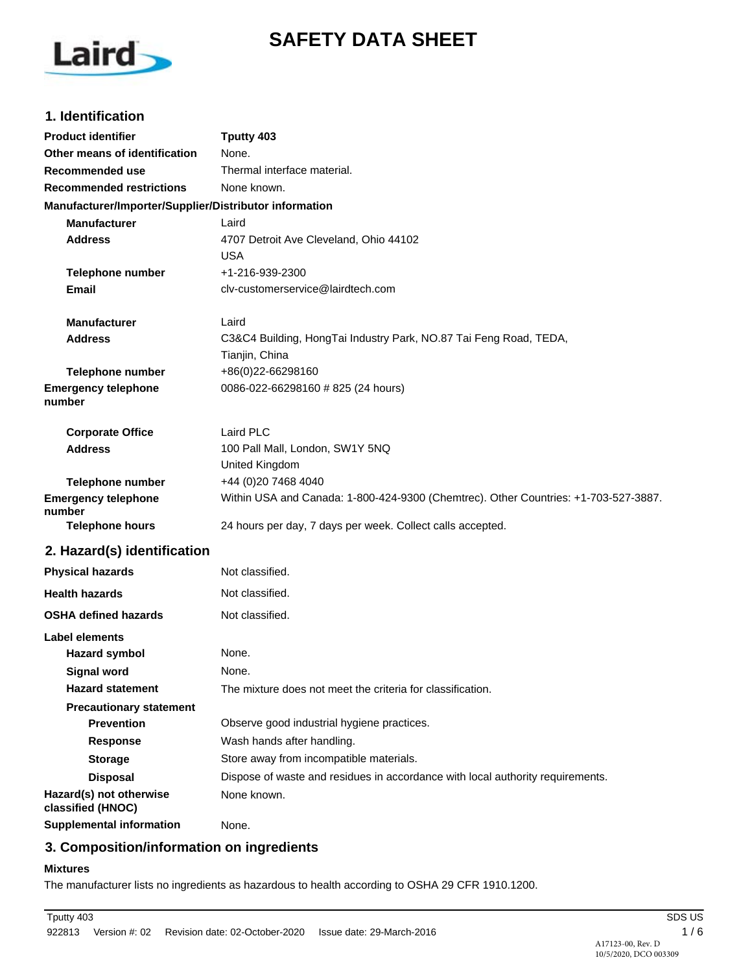# **SAFETY DATA SHEET**



## **1. Identification**

| <b>Product identifier</b>                              | Tputty 403                                                                          |
|--------------------------------------------------------|-------------------------------------------------------------------------------------|
| Other means of identification                          | None.                                                                               |
| Recommended use                                        | Thermal interface material.                                                         |
| <b>Recommended restrictions</b>                        | None known.                                                                         |
| Manufacturer/Importer/Supplier/Distributor information |                                                                                     |
| <b>Manufacturer</b>                                    | Laird                                                                               |
| <b>Address</b>                                         | 4707 Detroit Ave Cleveland, Ohio 44102                                              |
|                                                        | USA                                                                                 |
| <b>Telephone number</b>                                | +1-216-939-2300                                                                     |
| Email                                                  | cly-customerservice@lairdtech.com                                                   |
| <b>Manufacturer</b>                                    | Laird                                                                               |
| <b>Address</b>                                         | C3&C4 Building, HongTai Industry Park, NO.87 Tai Feng Road, TEDA,                   |
|                                                        | Tianjin, China                                                                      |
| <b>Telephone number</b>                                | +86(0)22-66298160                                                                   |
| <b>Emergency telephone</b><br>number                   | 0086-022-66298160 # 825 (24 hours)                                                  |
| <b>Corporate Office</b>                                | Laird PLC                                                                           |
| <b>Address</b>                                         | 100 Pall Mall, London, SW1Y 5NQ                                                     |
|                                                        | United Kingdom                                                                      |
| <b>Telephone number</b>                                | +44 (0)20 7468 4040                                                                 |
| <b>Emergency telephone</b><br>number                   | Within USA and Canada: 1-800-424-9300 (Chemtrec). Other Countries: +1-703-527-3887. |
| <b>Telephone hours</b>                                 | 24 hours per day, 7 days per week. Collect calls accepted.                          |
| 2. Hazard(s) identification                            |                                                                                     |
| <b>Physical hazards</b>                                | Not classified.                                                                     |
| <b>Health hazards</b>                                  | Not classified.                                                                     |
| <b>OSHA defined hazards</b>                            | Not classified.                                                                     |
| Label elements                                         |                                                                                     |
| <b>Hazard symbol</b>                                   | None.                                                                               |
| <b>Signal word</b>                                     | None.                                                                               |
| <b>Hazard statement</b>                                | The mixture does not meet the criteria for classification.                          |
| <b>Precautionary statement</b>                         |                                                                                     |
| <b>Prevention</b>                                      | Observe good industrial hygiene practices.                                          |
| <b>Response</b>                                        | Wash hands after handling.                                                          |
| <b>Storage</b>                                         | Store away from incompatible materials.                                             |
| <b>Disposal</b>                                        | Dispose of waste and residues in accordance with local authority requirements.      |
| Hazard(s) not otherwise<br>classified (HNOC)           | None known.                                                                         |
| <b>Supplemental information</b>                        | None.                                                                               |

## **3. Composition/information on ingredients**

## **Mixtures**

The manufacturer lists no ingredients as hazardous to health according to OSHA 29 CFR 1910.1200.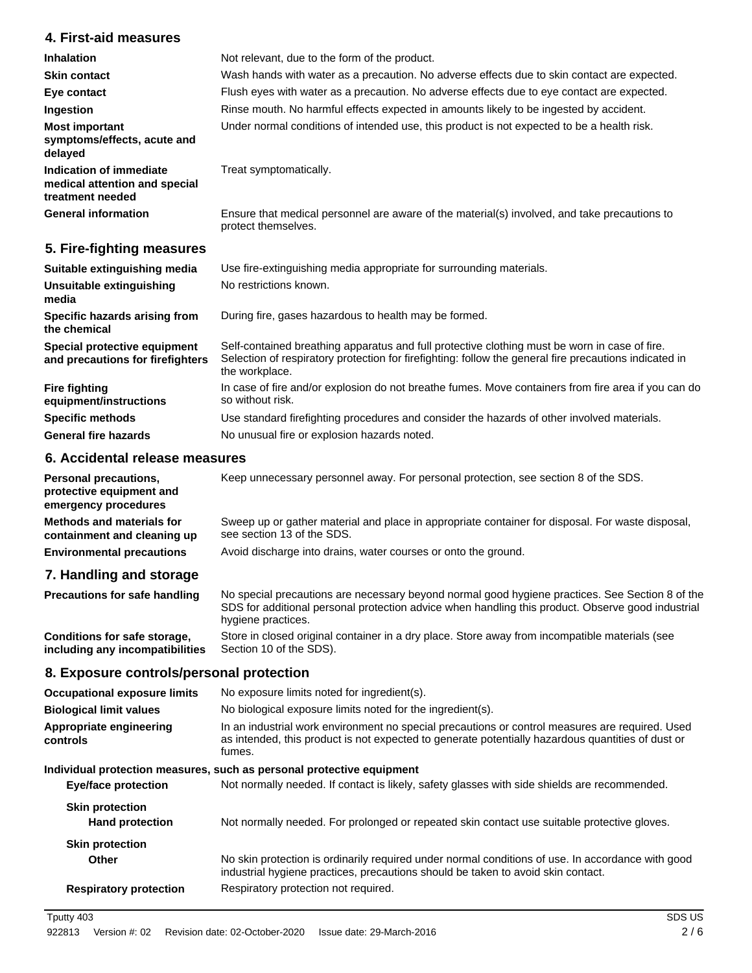## **4. First-aid measures**

| <b>Inhalation</b>                                                            | Not relevant, due to the form of the product.                                                                       |
|------------------------------------------------------------------------------|---------------------------------------------------------------------------------------------------------------------|
|                                                                              |                                                                                                                     |
| <b>Skin contact</b>                                                          | Wash hands with water as a precaution. No adverse effects due to skin contact are expected.                         |
| Eye contact                                                                  | Flush eyes with water as a precaution. No adverse effects due to eye contact are expected.                          |
| Ingestion                                                                    | Rinse mouth. No harmful effects expected in amounts likely to be ingested by accident.                              |
| <b>Most important</b><br>symptoms/effects, acute and<br>delayed              | Under normal conditions of intended use, this product is not expected to be a health risk.                          |
| Indication of immediate<br>medical attention and special<br>treatment needed | Treat symptomatically.                                                                                              |
| <b>General information</b>                                                   | Ensure that medical personnel are aware of the material(s) involved, and take precautions to<br>protect themselves. |
| 5. Fire-fighting measures                                                    |                                                                                                                     |

| Suitable extinguishing media                                     | Use fire-extinguishing media appropriate for surrounding materials.                                                                                                                                                       |
|------------------------------------------------------------------|---------------------------------------------------------------------------------------------------------------------------------------------------------------------------------------------------------------------------|
| Unsuitable extinguishing<br>media                                | No restrictions known.                                                                                                                                                                                                    |
| Specific hazards arising from<br>the chemical                    | During fire, gases hazardous to health may be formed.                                                                                                                                                                     |
| Special protective equipment<br>and precautions for firefighters | Self-contained breathing apparatus and full protective clothing must be worn in case of fire.<br>Selection of respiratory protection for firefighting: follow the general fire precautions indicated in<br>the workplace. |
| Fire fighting<br>equipment/instructions                          | In case of fire and/or explosion do not breathe fumes. Move containers from fire area if you can do<br>so without risk.                                                                                                   |
| <b>Specific methods</b>                                          | Use standard firefighting procedures and consider the hazards of other involved materials.                                                                                                                                |
| <b>General fire hazards</b>                                      | No unusual fire or explosion hazards noted.                                                                                                                                                                               |

#### **6. Accidental release measures**

| <b>Personal precautions,</b><br>protective equipment and<br>emergency procedures | Keep unnecessary personnel away. For personal protection, see section 8 of the SDS.                                            |
|----------------------------------------------------------------------------------|--------------------------------------------------------------------------------------------------------------------------------|
| <b>Methods and materials for</b><br>containment and cleaning up                  | Sweep up or gather material and place in appropriate container for disposal. For waste disposal,<br>see section 13 of the SDS. |
| <b>Environmental precautions</b>                                                 | Avoid discharge into drains, water courses or onto the ground.                                                                 |
| 7. Handling and storage                                                          |                                                                                                                                |
| <b>Precautions for safe handling</b>                                             | No special precautions are necessary beyond normal good hygiene practices. See Section 8 of the                                |

SDS for additional personal protection advice when handling this product. Observe good industrial hygiene practices. Store in closed original container in a dry place. Store away from incompatible materials (see Section 10 of the SDS). **Conditions for safe storage, including any incompatibilities**

## **8. Exposure controls/personal protection**

| <b>Occupational exposure limits</b>                                   | No exposure limits noted for ingredient(s).                                                                                                                                                                    |
|-----------------------------------------------------------------------|----------------------------------------------------------------------------------------------------------------------------------------------------------------------------------------------------------------|
| <b>Biological limit values</b>                                        | No biological exposure limits noted for the ingredient(s).                                                                                                                                                     |
| Appropriate engineering<br>controls                                   | In an industrial work environment no special precautions or control measures are required. Used<br>as intended, this product is not expected to generate potentially hazardous quantities of dust or<br>fumes. |
| Individual protection measures, such as personal protective equipment |                                                                                                                                                                                                                |
| <b>Eye/face protection</b>                                            | Not normally needed. If contact is likely, safety glasses with side shields are recommended.                                                                                                                   |
| <b>Skin protection</b><br><b>Hand protection</b>                      | Not normally needed. For prolonged or repeated skin contact use suitable protective gloves.                                                                                                                    |
| <b>Skin protection</b>                                                |                                                                                                                                                                                                                |
| Other                                                                 | No skin protection is ordinarily required under normal conditions of use. In accordance with good<br>industrial hygiene practices, precautions should be taken to avoid skin contact.                          |
| <b>Respiratory protection</b>                                         | Respiratory protection not required.                                                                                                                                                                           |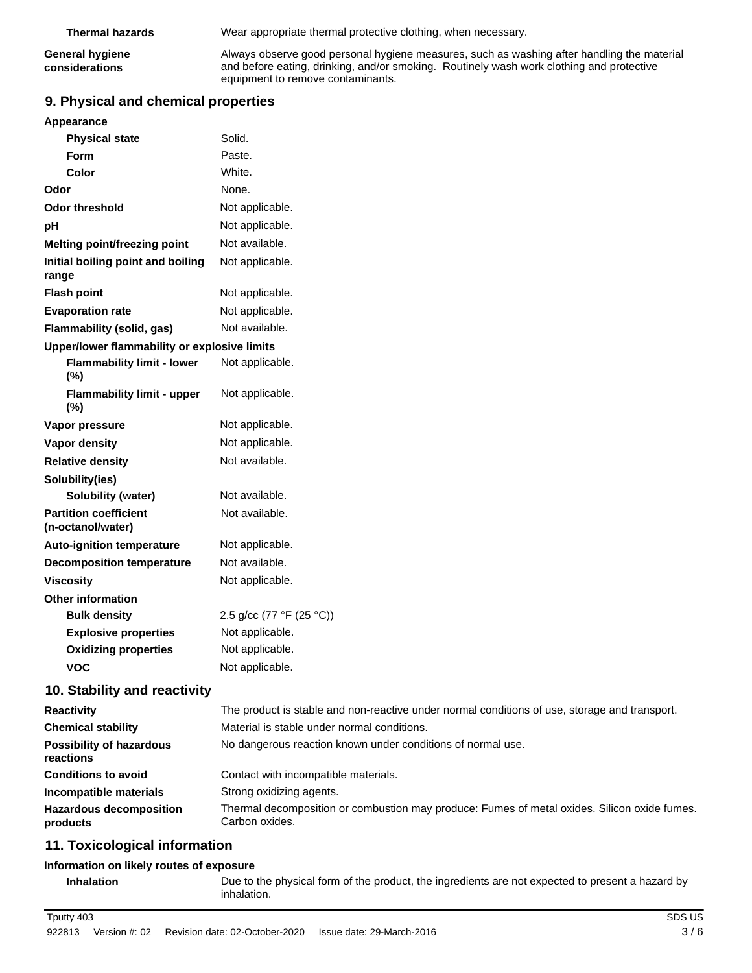| Thermal hazards | Wear appropriate thermal protective clothing, when necessary. |
|-----------------|---------------------------------------------------------------|
|                 |                                                               |

**General hygiene considerations**

Always observe good personal hygiene measures, such as washing after handling the material and before eating, drinking, and/or smoking. Routinely wash work clothing and protective equipment to remove contaminants.

## **9. Physical and chemical properties**

| Appearance                                        |                                                                                                                |
|---------------------------------------------------|----------------------------------------------------------------------------------------------------------------|
| <b>Physical state</b>                             | Solid.                                                                                                         |
| <b>Form</b>                                       | Paste.                                                                                                         |
| Color                                             | White.                                                                                                         |
| Odor                                              | None.                                                                                                          |
| <b>Odor threshold</b>                             | Not applicable.                                                                                                |
| рH                                                | Not applicable.                                                                                                |
| Melting point/freezing point                      | Not available.                                                                                                 |
| Initial boiling point and boiling<br>range        | Not applicable.                                                                                                |
| <b>Flash point</b>                                | Not applicable.                                                                                                |
| <b>Evaporation rate</b>                           | Not applicable.                                                                                                |
| Flammability (solid, gas)                         | Not available.                                                                                                 |
| Upper/lower flammability or explosive limits      |                                                                                                                |
| <b>Flammability limit - lower</b><br>$(\%)$       | Not applicable.                                                                                                |
| <b>Flammability limit - upper</b><br>(%)          | Not applicable.                                                                                                |
| Vapor pressure                                    | Not applicable.                                                                                                |
| Vapor density                                     | Not applicable.                                                                                                |
| <b>Relative density</b>                           | Not available.                                                                                                 |
| Solubility(ies)                                   |                                                                                                                |
| Solubility (water)                                | Not available.                                                                                                 |
| <b>Partition coefficient</b><br>(n-octanol/water) | Not available.                                                                                                 |
| <b>Auto-ignition temperature</b>                  | Not applicable.                                                                                                |
| <b>Decomposition temperature</b>                  | Not available.                                                                                                 |
| <b>Viscosity</b>                                  | Not applicable.                                                                                                |
| <b>Other information</b>                          |                                                                                                                |
| <b>Bulk density</b>                               | 2.5 g/cc (77 °F (25 °C))                                                                                       |
| <b>Explosive properties</b>                       | Not applicable.                                                                                                |
| <b>Oxidizing properties</b>                       | Not applicable.                                                                                                |
| <b>VOC</b>                                        | Not applicable.                                                                                                |
| 10. Stability and reactivity                      |                                                                                                                |
| <b>Reactivity</b>                                 | The product is stable and non-reactive under normal conditions of use, storage and transport.                  |
| <b>Chemical stability</b>                         | Material is stable under normal conditions.                                                                    |
| <b>Possibility of hazardous</b><br>reactions      | No dangerous reaction known under conditions of normal use.                                                    |
| <b>Conditions to avoid</b>                        | Contact with incompatible materials.                                                                           |
| Incompatible materials                            | Strong oxidizing agents.                                                                                       |
| <b>Hazardous decomposition</b><br>products        | Thermal decomposition or combustion may produce: Fumes of metal oxides. Silicon oxide fumes.<br>Carbon oxides. |
| 11. Toxicological information                     |                                                                                                                |

### **Information on likely routes of exposure**

**Inhalation** Due to the physical form of the product, the ingredients are not expected to present a hazard by inhalation.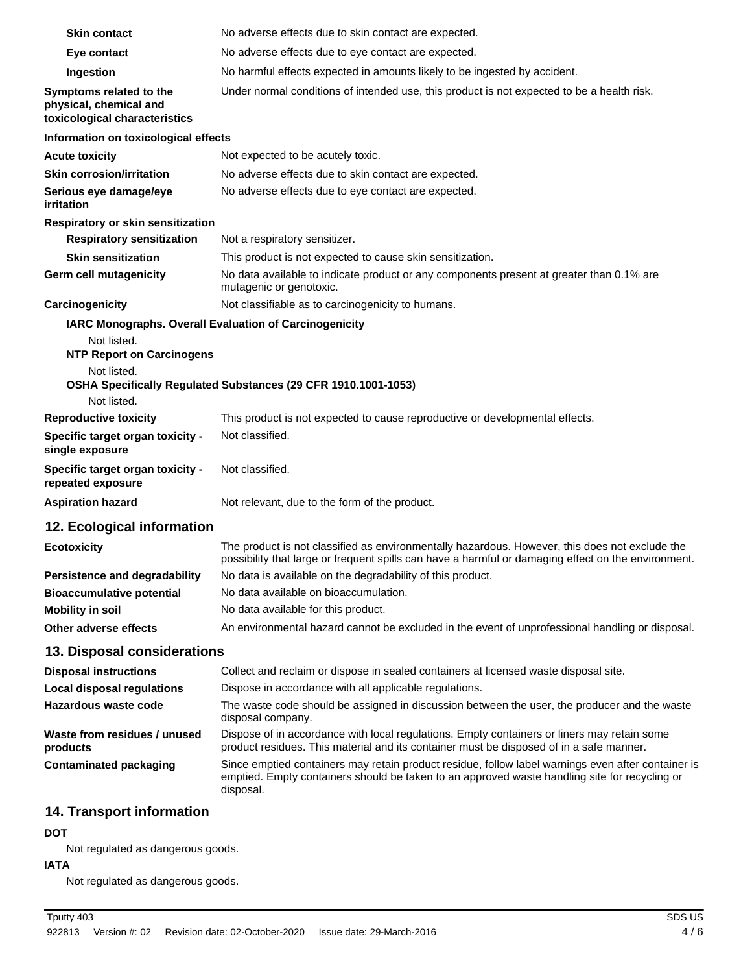| <b>Skin contact</b>                                                                | No adverse effects due to skin contact are expected.                                                                                                                                                             |
|------------------------------------------------------------------------------------|------------------------------------------------------------------------------------------------------------------------------------------------------------------------------------------------------------------|
| Eye contact                                                                        | No adverse effects due to eye contact are expected.                                                                                                                                                              |
| Ingestion                                                                          | No harmful effects expected in amounts likely to be ingested by accident.                                                                                                                                        |
| Symptoms related to the<br>physical, chemical and<br>toxicological characteristics | Under normal conditions of intended use, this product is not expected to be a health risk.                                                                                                                       |
| Information on toxicological effects                                               |                                                                                                                                                                                                                  |
| <b>Acute toxicity</b>                                                              | Not expected to be acutely toxic.                                                                                                                                                                                |
| <b>Skin corrosion/irritation</b>                                                   | No adverse effects due to skin contact are expected.                                                                                                                                                             |
| Serious eye damage/eye<br>irritation                                               | No adverse effects due to eye contact are expected.                                                                                                                                                              |
| Respiratory or skin sensitization                                                  |                                                                                                                                                                                                                  |
| <b>Respiratory sensitization</b>                                                   | Not a respiratory sensitizer.                                                                                                                                                                                    |
| <b>Skin sensitization</b>                                                          | This product is not expected to cause skin sensitization.                                                                                                                                                        |
| <b>Germ cell mutagenicity</b>                                                      | No data available to indicate product or any components present at greater than 0.1% are<br>mutagenic or genotoxic.                                                                                              |
| Carcinogenicity                                                                    | Not classifiable as to carcinogenicity to humans.                                                                                                                                                                |
| Not listed.<br><b>NTP Report on Carcinogens</b><br>Not listed.                     | IARC Monographs. Overall Evaluation of Carcinogenicity<br>OSHA Specifically Regulated Substances (29 CFR 1910.1001-1053)                                                                                         |
| Not listed.                                                                        |                                                                                                                                                                                                                  |
| <b>Reproductive toxicity</b>                                                       | This product is not expected to cause reproductive or developmental effects.                                                                                                                                     |
| Specific target organ toxicity -<br>single exposure                                | Not classified.                                                                                                                                                                                                  |
| Specific target organ toxicity -<br>repeated exposure                              | Not classified.                                                                                                                                                                                                  |
| <b>Aspiration hazard</b>                                                           | Not relevant, due to the form of the product.                                                                                                                                                                    |
| 12. Ecological information                                                         |                                                                                                                                                                                                                  |
| <b>Ecotoxicity</b>                                                                 | The product is not classified as environmentally hazardous. However, this does not exclude the<br>possibility that large or frequent spills can have a harmful or damaging effect on the environment.            |
| <b>Persistence and degradability</b>                                               | No data is available on the degradability of this product.                                                                                                                                                       |
| <b>Bioaccumulative potential</b>                                                   | No data available on bioaccumulation.                                                                                                                                                                            |
| <b>Mobility in soil</b>                                                            | No data available for this product.                                                                                                                                                                              |
| Other adverse effects                                                              | An environmental hazard cannot be excluded in the event of unprofessional handling or disposal.                                                                                                                  |
| 13. Disposal considerations                                                        |                                                                                                                                                                                                                  |
| <b>Disposal instructions</b>                                                       | Collect and reclaim or dispose in sealed containers at licensed waste disposal site.                                                                                                                             |
| <b>Local disposal regulations</b>                                                  | Dispose in accordance with all applicable regulations.                                                                                                                                                           |
| Hazardous waste code                                                               | The waste code should be assigned in discussion between the user, the producer and the waste<br>disposal company.                                                                                                |
| Waste from residues / unused<br>products                                           | Dispose of in accordance with local regulations. Empty containers or liners may retain some<br>product residues. This material and its container must be disposed of in a safe manner.                           |
| <b>Contaminated packaging</b>                                                      | Since emptied containers may retain product residue, follow label warnings even after container is<br>emptied. Empty containers should be taken to an approved waste handling site for recycling or<br>disposal. |
|                                                                                    |                                                                                                                                                                                                                  |

## **14. Transport information**

## **DOT**

Not regulated as dangerous goods.

## **IATA**

Not regulated as dangerous goods.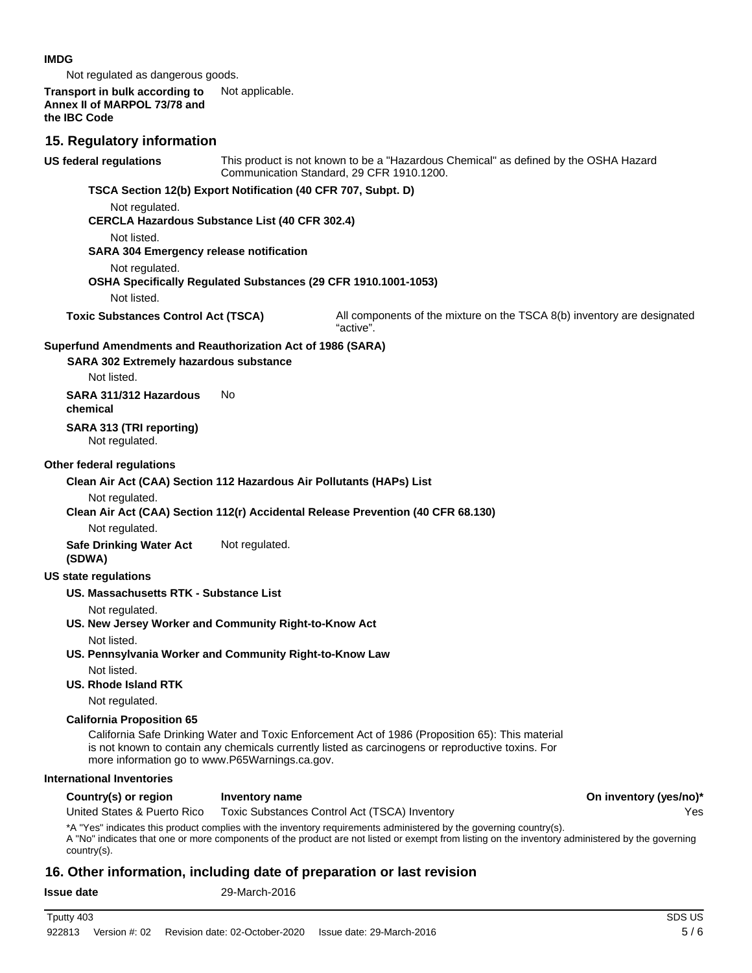#### **IMDG**

Not regulated as dangerous goods.

#### **Transport in bulk according to** Not applicable. **Annex II of MARPOL 73/78 and the IBC Code**

#### **15. Regulatory information**

This product is not known to be a "Hazardous Chemical" as defined by the OSHA Hazard Communication Standard, 29 CFR 1910.1200. **US federal regulations TSCA Section 12(b) Export Notification (40 CFR 707, Subpt. D)** Not regulated. **CERCLA Hazardous Substance List (40 CFR 302.4)** Not listed. **SARA 304 Emergency release notification** Not regulated. **OSHA Specifically Regulated Substances (29 CFR 1910.1001-1053)** Not listed. **Toxic Substances Control Act (TSCA)** All components of the mixture on the TSCA 8(b) inventory are designated "active". **SARA 302 Extremely hazardous substance Superfund Amendments and Reauthorization Act of 1986 (SARA)** Not listed. **SARA 311/312 Hazardous** No **chemical**

**SARA 313 (TRI reporting)** Not regulated.

#### **Other federal regulations**

**Clean Air Act (CAA) Section 112 Hazardous Air Pollutants (HAPs) List**

Not regulated.

**Clean Air Act (CAA) Section 112(r) Accidental Release Prevention (40 CFR 68.130)**

Not regulated.

**Safe Drinking Water Act** Not regulated. **(SDWA)**

#### **US state regulations**

**US. Massachusetts RTK - Substance List**

Not regulated.

**US. New Jersey Worker and Community Right-to-Know Act**

Not listed.

**US. Pennsylvania Worker and Community Right-to-Know Law**

Not listed.

#### **US. Rhode Island RTK**

Not regulated.

#### **California Proposition 65**

California Safe Drinking Water and Toxic Enforcement Act of 1986 (Proposition 65): This material is not known to contain any chemicals currently listed as carcinogens or reproductive toxins. For more information go to www.P65Warnings.ca.gov.

#### **International Inventories**

#### Country(s) or region Inventory name **Country in the Country of Country (yes/no**)<sup>\*</sup>

United States & Puerto Rico Toxic Substances Control Act (TSCA) Inventory Yes

\*A "Yes" indicates this product complies with the inventory requirements administered by the governing country(s).

A "No" indicates that one or more components of the product are not listed or exempt from listing on the inventory administered by the governing country(s).

## **16. Other information, including date of preparation or last revision**

**Issue date** 29-March-2016